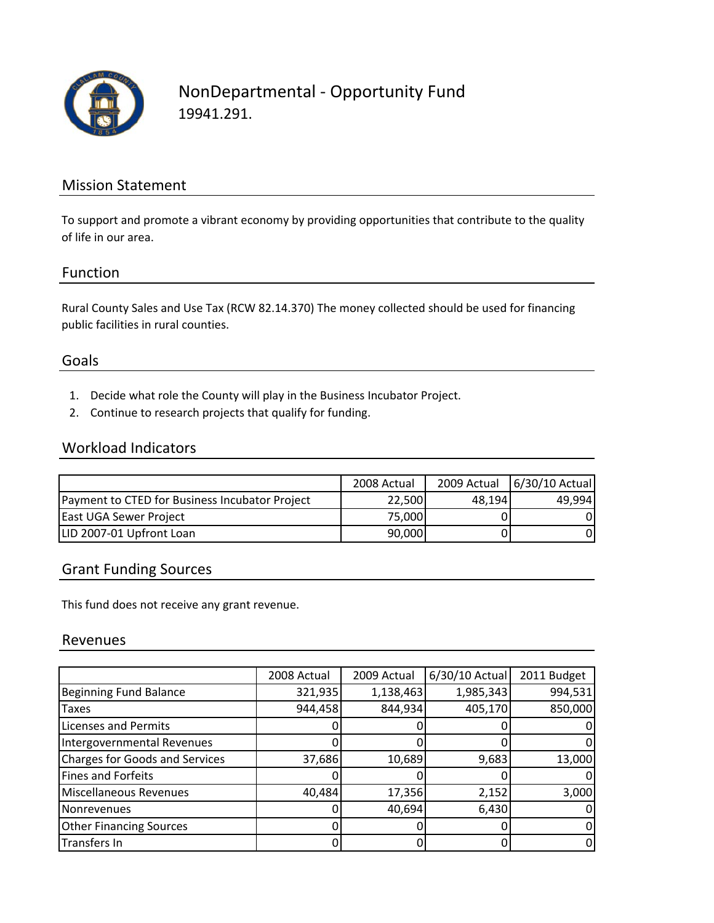

# NonDepartmental ‐ Opportunity Fund 19941.291.

### Mission Statement

To support and promote a vibrant economy by providing opportunities that contribute to the quality of life in our area.

#### Function

Rural County Sales and Use Tax (RCW 82.14.370) The money collected should be used for financing public facilities in rural counties.

#### Goals

- 1. Decide what role the County will play in the Business Incubator Project.
- 2. Continue to research projects that qualify for funding.

#### Workload Indicators

|                                                | 2008 Actual | 2009 Actual | 6/30/10 Actual |
|------------------------------------------------|-------------|-------------|----------------|
| Payment to CTED for Business Incubator Project | 22.500      | 48.194      | 49,994         |
| East UGA Sewer Project                         | 75.000      |             |                |
| LID 2007-01 Upfront Loan                       | 90,000      |             |                |

### Grant Funding Sources

This fund does not receive any grant revenue.

#### Revenues

|                                       | 2008 Actual | 2009 Actual | 6/30/10 Actual | 2011 Budget |
|---------------------------------------|-------------|-------------|----------------|-------------|
| <b>Beginning Fund Balance</b>         | 321,935     | 1,138,463   | 1,985,343      | 994,531     |
| <b>Taxes</b>                          | 944,458     | 844,934     | 405,170        | 850,000     |
| <b>Licenses and Permits</b>           |             |             |                |             |
| Intergovernmental Revenues            |             |             |                | 0           |
| <b>Charges for Goods and Services</b> | 37,686      | 10,689      | 9,683          | 13,000      |
| <b>Fines and Forfeits</b>             |             |             |                |             |
| Miscellaneous Revenues                | 40,484      | 17,356      | 2,152          | 3,000       |
| Nonrevenues                           |             | 40,694      | 6,430          | O           |
| <b>Other Financing Sources</b>        |             |             |                |             |
| Transfers In                          |             |             |                | 0           |